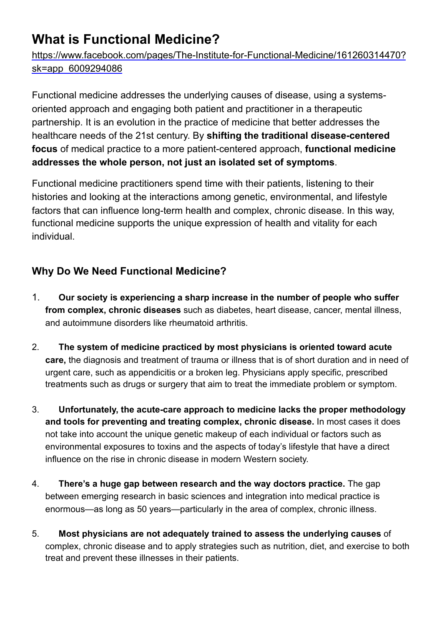# **What is Functional Medicine?**

[https://www.facebook.com/pages/The-Institute-for-Functional-Medicine/161260314470?](https://www.facebook.com/pages/The-Institute-for-Functional-Medicine/161260314470?sk=app_6009294086) [sk=app\\_6009294086](https://www.facebook.com/pages/The-Institute-for-Functional-Medicine/161260314470?sk=app_6009294086)

Functional medicine addresses the underlying causes of disease, using a systemsoriented approach and engaging both patient and practitioner in a therapeutic partnership. It is an evolution in the practice of medicine that better addresses the healthcare needs of the 21st century. By **shifting the traditional disease-centered focus** of medical practice to a more patient-centered approach, **functional medicine addresses the whole person, not just an isolated set of symptoms**.

Functional medicine practitioners spend time with their patients, listening to their histories and looking at the interactions among genetic, environmental, and lifestyle factors that can influence long-term health and complex, chronic disease. In this way, functional medicine supports the unique expression of health and vitality for each individual.

### **Why Do We Need Functional Medicine?**

- 1. **Our society is experiencing a sharp increase in the number of people who suffer from complex, chronic diseases** such as diabetes, heart disease, cancer, mental illness, and autoimmune disorders like rheumatoid arthritis.
- 2. **The system of medicine practiced by most physicians is oriented toward acute care,** the diagnosis and treatment of trauma or illness that is of short duration and in need of urgent care, such as appendicitis or a broken leg. Physicians apply specific, prescribed treatments such as drugs or surgery that aim to treat the immediate problem or symptom.
- 3. **Unfortunately, the acute-care approach to medicine lacks the proper methodology and tools for preventing and treating complex, chronic disease.** In most cases it does not take into account the unique genetic makeup of each individual or factors such as environmental exposures to toxins and the aspects of today's lifestyle that have a direct influence on the rise in chronic disease in modern Western society.
- 4. **There's a huge gap between research and the way doctors practice.** The gap between emerging research in basic sciences and integration into medical practice is enormous—as long as 50 years—particularly in the area of complex, chronic illness.
- 5. **Most physicians are not adequately trained to assess the underlying causes** of complex, chronic disease and to apply strategies such as nutrition, diet, and exercise to both treat and prevent these illnesses in their patients.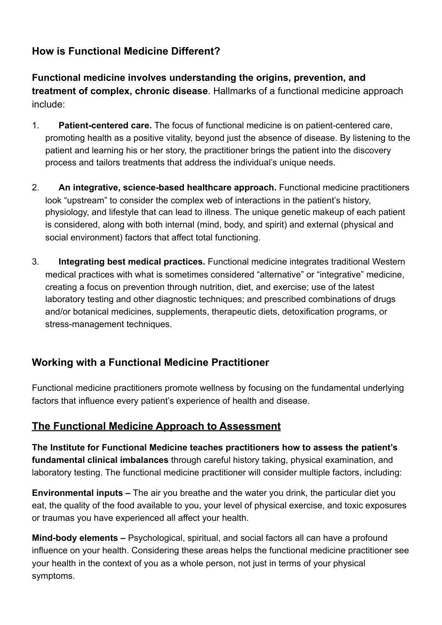## **How is Functional Medicine Different?**

**Functional medicine involves understanding the origins, prevention, and treatment of complex, chronic disease**. Hallmarks of a functional medicine approach include:

- 1. **Patient-centered care.** The focus of functional medicine is on patient-centered care, promoting health as a positive vitality, beyond just the absence of disease. By listening to the patient and learning his or her story, the practitioner brings the patient into the discovery process and tailors treatments that address the individual's unique needs.
- 2. **An integrative, science-based healthcare approach.** Functional medicine practitioners look "upstream" to consider the complex web of interactions in the patient's history, physiology, and lifestyle that can lead to illness. The unique genetic makeup of each patient is considered, along with both internal (mind, body, and spirit) and external (physical and social environment) factors that affect total functioning.
- 3. **Integrating best medical practices.** Functional medicine integrates traditional Western medical practices with what is sometimes considered "alternative" or "integrative" medicine, creating a focus on prevention through nutrition, diet, and exercise; use of the latest laboratory testing and other diagnostic techniques; and prescribed combinations of drugs and/or botanical medicines, supplements, therapeutic diets, detoxification programs, or stress-management techniques.

### **Working with a Functional Medicine Practitioner**

Functional medicine practitioners promote wellness by focusing on the fundamental underlying factors that influence every patient's experience of health and disease.

#### **The Functional Medicine Approach to Assessment**

**The Institute for Functional Medicine teaches practitioners how to assess the patient's fundamental clinical imbalances** through careful history taking, physical examination, and laboratory testing. The functional medicine practitioner will consider multiple factors, including:

**Environmental inputs –** The air you breathe and the water you drink, the particular diet you eat, the quality of the food available to you, your level of physical exercise, and toxic exposures or traumas you have experienced all affect your health.

**Mind-body elements –** Psychological, spiritual, and social factors all can have a profound influence on your health. Considering these areas helps the functional medicine practitioner see your health in the context of you as a whole person, not just in terms of your physical symptoms.